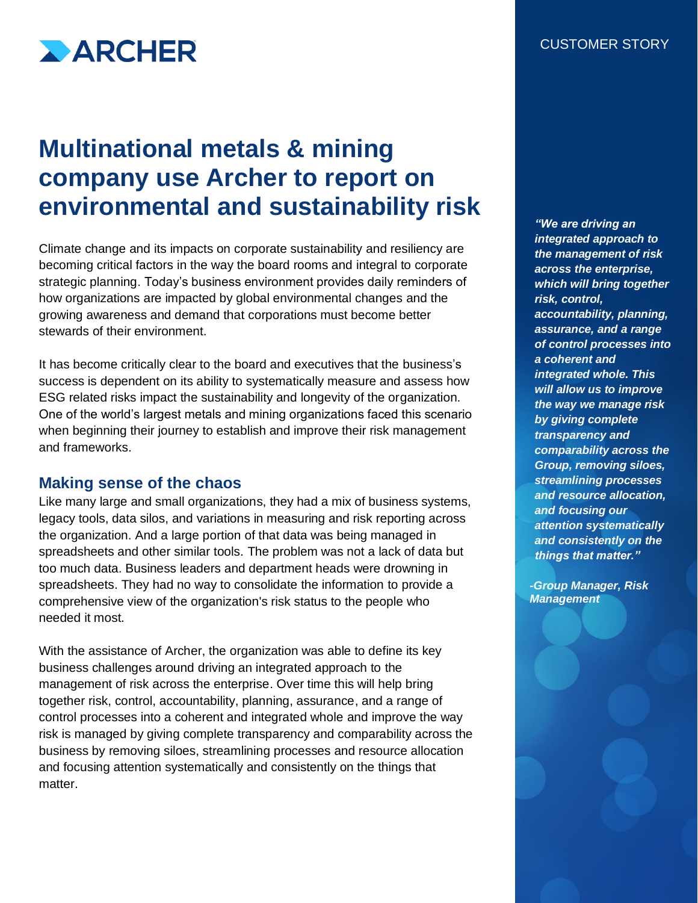

# **Multinational metals & mining company use Archer to report on environmental and sustainability risk**

Climate change and its impacts on corporate sustainability and resiliency are becoming critical factors in the way the board rooms and integral to corporate strategic planning. Today's business environment provides daily reminders of how organizations are impacted by global environmental changes and the growing awareness and demand that corporations must become better stewards of their environment.

It has become critically clear to the board and executives that the business's success is dependent on its ability to systematically measure and assess how ESG related risks impact the sustainability and longevity of the organization. One of the world's largest metals and mining organizations faced this scenario when beginning their journey to establish and improve their risk management and frameworks.

#### **Making sense of the chaos**

Like many large and small organizations, they had a mix of business systems, legacy tools, data silos, and variations in measuring and risk reporting across the organization. And a large portion of that data was being managed in spreadsheets and other similar tools. The problem was not a lack of data but too much data. Business leaders and department heads were drowning in spreadsheets. They had no way to consolidate the information to provide a comprehensive view of the organization's risk status to the people who needed it most.

With the assistance of Archer, the organization was able to define its key business challenges around driving an integrated approach to the management of risk across the enterprise. Over time this will help bring together risk, control, accountability, planning, assurance, and a range of control processes into a coherent and integrated whole and improve the way risk is managed by giving complete transparency and comparability across the business by removing siloes, streamlining processes and resource allocation and focusing attention systematically and consistently on the things that matter.

*"We are driving an integrated approach to the management of risk across the enterprise, which will bring together risk, control, accountability, planning, assurance, and a range of control processes into a coherent and integrated whole. This will allow us to improve the way we manage risk by giving complete transparency and comparability across the Group, removing siloes, streamlining processes and resource allocation, and focusing our attention systematically and consistently on the things that matter."*

*-Group Manager, Risk Management*